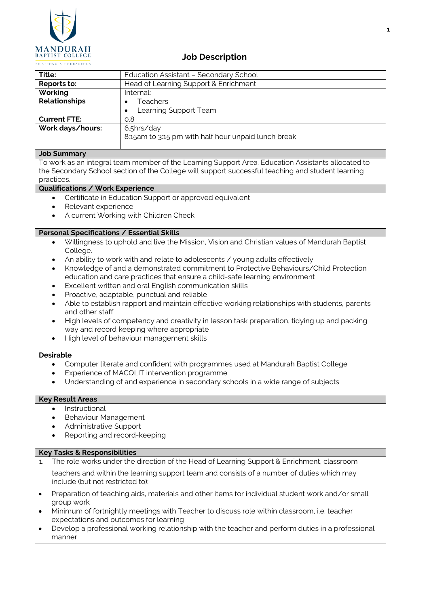

# **Job Description**

| Title:               | Education Assistant - Secondary School              |
|----------------------|-----------------------------------------------------|
| Reports to:          | Head of Learning Support & Enrichment               |
| Working              | Internal:                                           |
| <b>Relationships</b> | <b>Teachers</b><br>٠                                |
|                      | Learning Support Team<br>$\bullet$                  |
| <b>Current FTE:</b>  | 0.8                                                 |
| Work days/hours:     | 6.5hrs/day                                          |
|                      | 8:15am to 3:15 pm with half hour unpaid lunch break |
|                      |                                                     |

### **Job Summary**

To work as an integral team member of the Learning Support Area. Education Assistants allocated to the Secondary School section of the College will support successful teaching and student learning practices.

## **Qualifications / Work Experience**

- Certificate in Education Support or approved equivalent
- Relevant experience
- A current Working with Children Check

### **Personal Specifications / Essential Skills**

- Willingness to uphold and live the Mission, Vision and Christian values of Mandurah Baptist College.
- An ability to work with and relate to adolescents / young adults effectively
- Knowledge of and a demonstrated commitment to Protective Behaviours/Child Protection education and care practices that ensure a child-safe learning environment
- Excellent written and oral English communication skills
- Proactive, adaptable, punctual and reliable
- Able to establish rapport and maintain effective working relationships with students, parents and other staff
- High levels of competency and creativity in lesson task preparation, tidying up and packing way and record keeping where appropriate
- High level of behaviour management skills

### **Desirable**

- Computer literate and confident with programmes used at Mandurah Baptist College
- Experience of MACQLIT intervention programme
- Understanding of and experience in secondary schools in a wide range of subjects

### **Key Result Areas**

- **Instructional**
- Behaviour Management
- Administrative Support
- Reporting and record-keeping

### **Key Tasks & Responsibilities**

- 1. The role works under the direction of the Head of Learning Support & Enrichment, classroom teachers and within the learning support team and consists of a number of duties which may include (but not restricted to):
- Preparation of teaching aids, materials and other items for individual student work and/or small group work
- Minimum of fortnightly meetings with Teacher to discuss role within classroom, i.e. teacher expectations and outcomes for learning
- Develop a professional working relationship with the teacher and perform duties in a professional manner